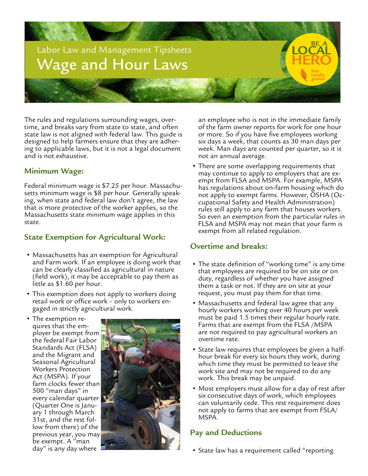

The rules and regulations surrounding wages, over- time, and breaks vary from state to state, and often state law is not aligned with federal law. This guide is designed to help farmers ensure that they are adher- ing to applicable laws, but it is not a legal document and is not exhaustive.

#### **Minimum Wage:**

Federal minimum wage is \$7.25 per hour. Massachusetts minimum wage is \$8 per hour. Generally speaking, when state and federal law don't agree, the law that is more protective of the worker applies, so the Massachusetts state minimum wage applies in this state.

#### **State Exemption for Agricultural Work:**

- Massachusetts has an exemption for Agricultural and Farm work. If an employee is doing work that can be clearly classified as agricultural in nature (field work), it may be acceptable to pay them as little as \$1.60 per hour.
- This exemption does not apply to workers doing retail work or office work – only to workers en- gaged in strictly agricultural work.
- The exemption re- quires that the em- ployer be exempt from the federal Fair Labor Standards Act (FLSA) and the Migrant and Seasonal Agricultural Workers Protection Act (MSPA). If your farm clocks fewer than 500 "man days" in every calendar quarter (Quarter One is January 1 through March<br>31st, and the rest follow from there) of the previous year, you may be exempt. A "man day" is any day where



an employee who is not in the immediate family of the farm owner reports for work for one hour or more. So if you have five employees working six days a week, that counts as 30 man days per week. Man days are counted per quarter, so it is not an annual average.

• There are some overlapping requirements that may continue to apply to employers that are exempt from FLSA and MSPA. For example, MSPA has regulations about on-farm housing which do not apply to exempt farms. However, OSHA (Occupational Safety and Health Administration) rules still apply to any farm that houses workers. So even an exemption from the particular rules in FLSA and MSPA may not mean that your farm is exempt from all related regulation.

## **Overtime and breaks:**

- The state definition of "working time" is any time that employees are required to be on site or on duty, regardless of whether you have assigned them a task or not. If they are on site at your request, you must pay them for that time.
- Massachusetts and federal law agree that any hourly workers working over 40 hours per week must be paid 1.5 times their regular hourly rate. Farms that are exempt from the FLSA /MSPA are not required to pay agricultural workers an overtime rate.
- State law requires that employees be given a halfhour break for every six hours they work, during which time they must be permitted to leave the work site and may not be required to do any work. This break may be unpaid.
- Most employers must allow for a day of rest after six consecutive days of work, which employees can voluntarily cede. This rest requirement does not apply to farms that are exempt from FSLA/ MSPA.

## **Pay and Deductions**

• State law has a requirement called "reporting